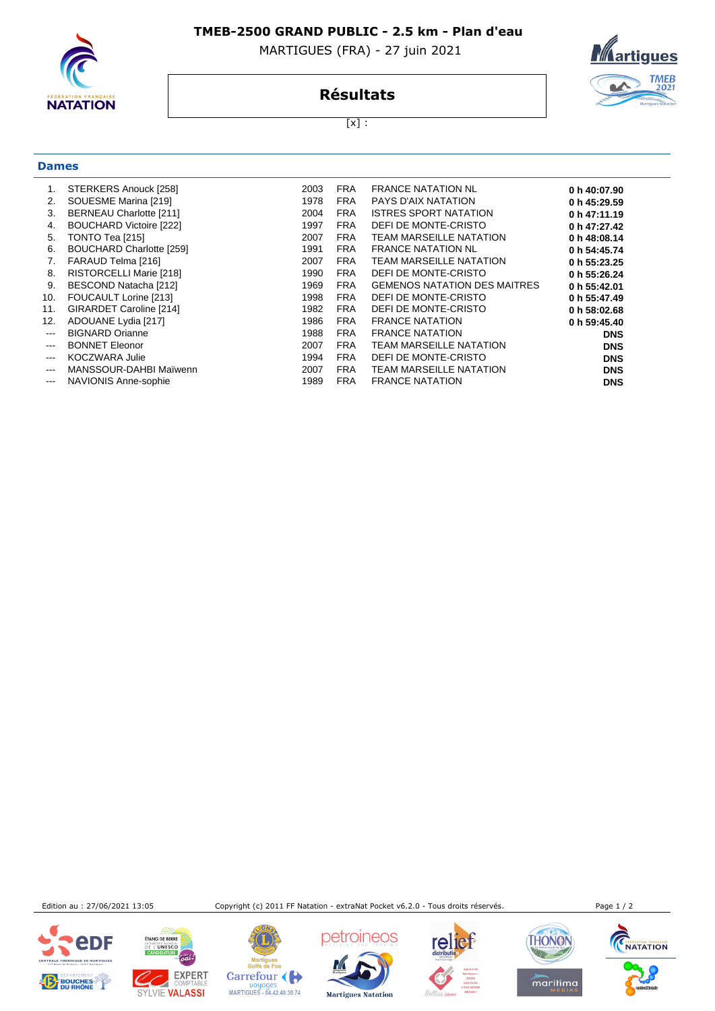

## **TMEB-2500 GRAND PUBLIC - 2.5 km - Plan d'eau**

MARTIGUES (FRA) - 27 juin 2021



**Résultats**

 $[x]$  :

## **Dames**

|                           | STERKERS Anouck [258]          | 2003 | <b>FRA</b> | <b>FRANCE NATATION NL</b>           | 0 h 40:07.90 |
|---------------------------|--------------------------------|------|------------|-------------------------------------|--------------|
| 2.                        | SOUESME Marina [219]           | 1978 | <b>FRA</b> | <b>PAYS D'AIX NATATION</b>          | 0 h 45:29.59 |
| 3.                        | <b>BERNEAU Charlotte [211]</b> | 2004 | <b>FRA</b> | ISTRES SPORT NATATION               | 0 h 47:11.19 |
| 4.                        | BOUCHARD Victoire [222]        | 1997 | <b>FRA</b> | DEFI DE MONTE-CRISTO                | 0 h 47:27.42 |
| 5.                        | TONTO Tea [215]                | 2007 | <b>FRA</b> | TEAM MARSEILLE NATATION             | 0 h 48:08.14 |
| 6.                        | BOUCHARD Charlotte [259]       | 1991 | <b>FRA</b> | <b>FRANCE NATATION NL</b>           | 0 h 54:45.74 |
| 7.                        | FARAUD Telma [216]             | 2007 | <b>FRA</b> | <b>TEAM MARSEILLE NATATION</b>      | 0 h 55:23.25 |
| 8.                        | <b>RISTORCELLI Marie [218]</b> | 1990 | <b>FRA</b> | DEFI DE MONTE-CRISTO                | 0 h 55:26.24 |
| 9.                        | BESCOND Natacha [212]          | 1969 | <b>FRA</b> | <b>GEMENOS NATATION DES MAITRES</b> | 0 h 55:42.01 |
| 10.                       | FOUCAULT Lorine [213]          | 1998 | <b>FRA</b> | DEFI DE MONTE-CRISTO                | 0 h 55:47.49 |
| 11.                       | GIRARDET Caroline [214]        | 1982 | <b>FRA</b> | DEFI DE MONTE-CRISTO                | 0 h 58:02.68 |
| 12.                       | ADOUANE Lydia [217]            | 1986 | <b>FRA</b> | <b>FRANCE NATATION</b>              | 0 h 59:45.40 |
| $\qquad \qquad -$         | <b>BIGNARD Orianne</b>         | 1988 | <b>FRA</b> | <b>FRANCE NATATION</b>              | <b>DNS</b>   |
| $\qquad \qquad -\qquad -$ | <b>BONNET Eleonor</b>          | 2007 | <b>FRA</b> | <b>TEAM MARSEILLE NATATION</b>      | <b>DNS</b>   |
| $\qquad \qquad -\qquad -$ | <b>KOCZWARA Julie</b>          | 1994 | <b>FRA</b> | DEFI DE MONTE-CRISTO                | <b>DNS</b>   |
| $---$                     | MANSSOUR-DAHBI Maïwenn         | 2007 | <b>FRA</b> | <b>TEAM MARSEILLE NATATION</b>      | <b>DNS</b>   |
| $\qquad \qquad -$         | <b>NAVIONIS Anne-sophie</b>    | 1989 | <b>FRA</b> | <b>FRANCE NATATION</b>              | <b>DNS</b>   |

Edition au : 27/06/2021 13:05 Copyright (c) 2011 FF Natation - extraNat Pocket v6.2.0 - Tous droits réservés. Page 1 / 2





**ÉTANG DE BERRE** 

Mar martigues<br>Golfe de Fos Carrefour Doyages<br>MARTIGUES - 04.42.40.30.74